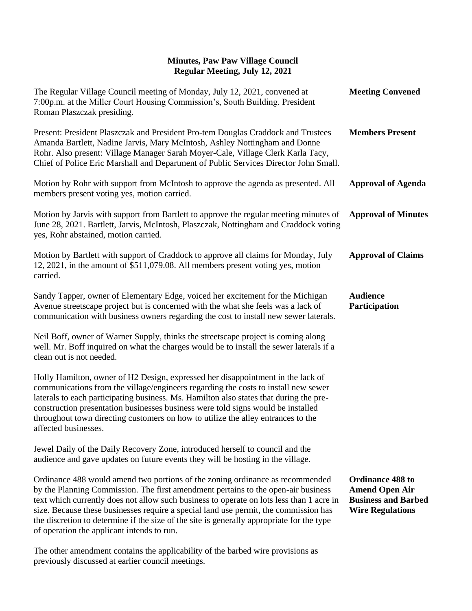| The Regular Village Council meeting of Monday, July 12, 2021, convened at<br>7:00p.m. at the Miller Court Housing Commission's, South Building. President<br>Roman Plaszczak presiding.                                                                                                                                                                                                                                                                                                           | <b>Meeting Convened</b>                                                                                   |
|---------------------------------------------------------------------------------------------------------------------------------------------------------------------------------------------------------------------------------------------------------------------------------------------------------------------------------------------------------------------------------------------------------------------------------------------------------------------------------------------------|-----------------------------------------------------------------------------------------------------------|
| Present: President Plaszczak and President Pro-tem Douglas Craddock and Trustees<br>Amanda Bartlett, Nadine Jarvis, Mary McIntosh, Ashley Nottingham and Donne<br>Rohr. Also present: Village Manager Sarah Moyer-Cale, Village Clerk Karla Tacy,<br>Chief of Police Eric Marshall and Department of Public Services Director John Small.                                                                                                                                                         | <b>Members Present</b>                                                                                    |
| Motion by Rohr with support from McIntosh to approve the agenda as presented. All<br>members present voting yes, motion carried.                                                                                                                                                                                                                                                                                                                                                                  | <b>Approval of Agenda</b>                                                                                 |
| Motion by Jarvis with support from Bartlett to approve the regular meeting minutes of<br>June 28, 2021. Bartlett, Jarvis, McIntosh, Plaszczak, Nottingham and Craddock voting<br>yes, Rohr abstained, motion carried.                                                                                                                                                                                                                                                                             | <b>Approval of Minutes</b>                                                                                |
| Motion by Bartlett with support of Craddock to approve all claims for Monday, July<br>12, 2021, in the amount of \$511,079.08. All members present voting yes, motion<br>carried.                                                                                                                                                                                                                                                                                                                 | <b>Approval of Claims</b>                                                                                 |
| Sandy Tapper, owner of Elementary Edge, voiced her excitement for the Michigan<br>Avenue streetscape project but is concerned with the what she feels was a lack of<br>communication with business owners regarding the cost to install new sewer laterals.                                                                                                                                                                                                                                       | <b>Audience</b><br>Participation                                                                          |
| Neil Boff, owner of Warner Supply, thinks the streetscape project is coming along<br>well. Mr. Boff inquired on what the charges would be to install the sewer laterals if a<br>clean out is not needed.                                                                                                                                                                                                                                                                                          |                                                                                                           |
| Holly Hamilton, owner of H2 Design, expressed her disappointment in the lack of<br>communications from the village/engineers regarding the costs to install new sewer<br>laterals to each participating business. Ms. Hamilton also states that during the pre-<br>construction presentation businesses business were told signs would be installed<br>throughout town directing customers on how to utilize the alley entrances to the<br>affected businesses.                                   |                                                                                                           |
| Jewel Daily of the Daily Recovery Zone, introduced herself to council and the<br>audience and gave updates on future events they will be hosting in the village.                                                                                                                                                                                                                                                                                                                                  |                                                                                                           |
| Ordinance 488 would amend two portions of the zoning ordinance as recommended<br>by the Planning Commission. The first amendment pertains to the open-air business<br>text which currently does not allow such business to operate on lots less than 1 acre in<br>size. Because these businesses require a special land use permit, the commission has<br>the discretion to determine if the size of the site is generally appropriate for the type<br>of operation the applicant intends to run. | <b>Ordinance 488 to</b><br><b>Amend Open Air</b><br><b>Business and Barbed</b><br><b>Wire Regulations</b> |
| The other amendment contains the applicability of the barbed wire provisions as                                                                                                                                                                                                                                                                                                                                                                                                                   |                                                                                                           |

previously discussed at earlier council meetings.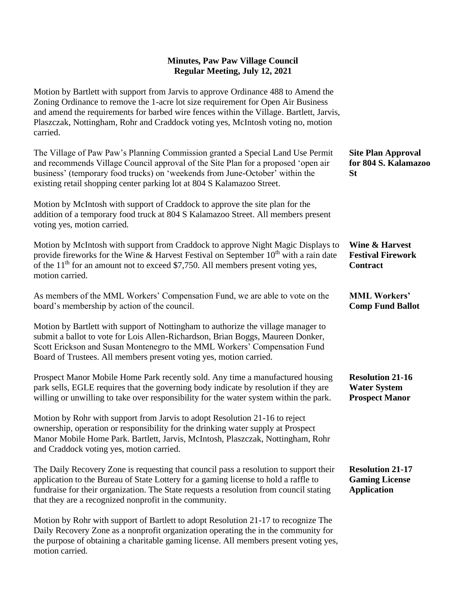Motion by Bartlett with support from Jarvis to approve Ordinance 488 to Amend the Zoning Ordinance to remove the 1-acre lot size requirement for Open Air Business and amend the requirements for barbed wire fences within the Village. Bartlett, Jarvis, Plaszczak, Nottingham, Rohr and Craddock voting yes, McIntosh voting no, motion carried.

The Village of Paw Paw's Planning Commission granted a Special Land Use Permit and recommends Village Council approval of the Site Plan for a proposed 'open air business' (temporary food trucks) on 'weekends from June-October' within the existing retail shopping center parking lot at 804 S Kalamazoo Street. **Site Plan Approval for 804 S. Kalamazoo St**

Motion by McIntosh with support of Craddock to approve the site plan for the addition of a temporary food truck at 804 S Kalamazoo Street. All members present voting yes, motion carried.

| Motion by McIntosh with support from Craddock to approve Night Magic Displays to             | Wine & Harvest           |
|----------------------------------------------------------------------------------------------|--------------------------|
| provide fireworks for the Wine & Harvest Festival on September $10^{th}$ with a rain date    | <b>Festival Firework</b> |
| of the 11 <sup>th</sup> for an amount not to exceed \$7,750. All members present voting yes, | <b>Contract</b>          |
| motion carried.                                                                              |                          |

**MML Workers' Comp Fund Ballot**

As members of the MML Workers' Compensation Fund, we are able to vote on the board's membership by action of the council.

Motion by Bartlett with support of Nottingham to authorize the village manager to submit a ballot to vote for Lois Allen-Richardson, Brian Boggs, Maureen Donker, Scott Erickson and Susan Montenegro to the MML Workers' Compensation Fund Board of Trustees. All members present voting yes, motion carried.

Prospect Manor Mobile Home Park recently sold. Any time a manufactured housing park sells, EGLE requires that the governing body indicate by resolution if they are willing or unwilling to take over responsibility for the water system within the park. **Resolution 21-16 Water System Prospect Manor**

Motion by Rohr with support from Jarvis to adopt Resolution 21-16 to reject ownership, operation or responsibility for the drinking water supply at Prospect Manor Mobile Home Park. Bartlett, Jarvis, McIntosh, Plaszczak, Nottingham, Rohr and Craddock voting yes, motion carried.

The Daily Recovery Zone is requesting that council pass a resolution to support their application to the Bureau of State Lottery for a gaming license to hold a raffle to fundraise for their organization. The State requests a resolution from council stating that they are a recognized nonprofit in the community. **Resolution 21-17 Gaming License Application**

Motion by Rohr with support of Bartlett to adopt Resolution 21-17 to recognize The Daily Recovery Zone as a nonprofit organization operating the in the community for the purpose of obtaining a charitable gaming license. All members present voting yes, motion carried.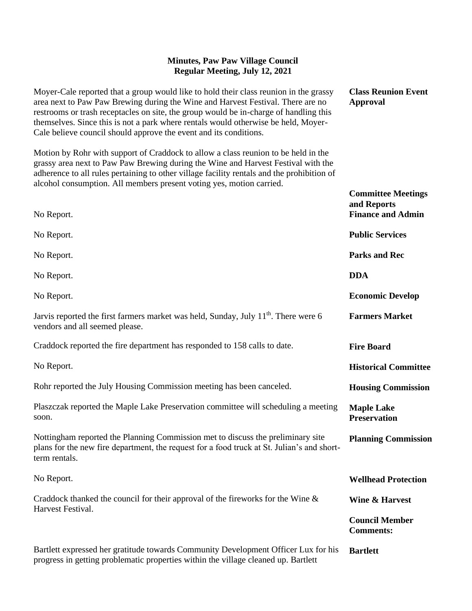**Class Reunion Event** 

**Committee Meetings** 

**Approval**

Moyer-Cale reported that a group would like to hold their class reunion in the grassy area next to Paw Paw Brewing during the Wine and Harvest Festival. There are no restrooms or trash receptacles on site, the group would be in-charge of handling this themselves. Since this is not a park where rentals would otherwise be held, Moyer-Cale believe council should approve the event and its conditions.

Motion by Rohr with support of Craddock to allow a class reunion to be held in the grassy area next to Paw Paw Brewing during the Wine and Harvest Festival with the adherence to all rules pertaining to other village facility rentals and the prohibition of alcohol consumption. All members present voting yes, motion carried.

| No Report.                                                                                                                                                                                     | and Reports<br><b>Finance and Admin</b>   |
|------------------------------------------------------------------------------------------------------------------------------------------------------------------------------------------------|-------------------------------------------|
| No Report.                                                                                                                                                                                     | <b>Public Services</b>                    |
| No Report.                                                                                                                                                                                     | <b>Parks and Rec</b>                      |
| No Report.                                                                                                                                                                                     | <b>DDA</b>                                |
| No Report.                                                                                                                                                                                     | <b>Economic Develop</b>                   |
| Jarvis reported the first farmers market was held, Sunday, July 11 <sup>th</sup> . There were 6<br>vendors and all seemed please.                                                              | <b>Farmers Market</b>                     |
| Craddock reported the fire department has responded to 158 calls to date.                                                                                                                      | <b>Fire Board</b>                         |
| No Report.                                                                                                                                                                                     | <b>Historical Committee</b>               |
| Rohr reported the July Housing Commission meeting has been canceled.                                                                                                                           | <b>Housing Commission</b>                 |
| Plaszczak reported the Maple Lake Preservation committee will scheduling a meeting<br>soon.                                                                                                    | <b>Maple Lake</b><br><b>Preservation</b>  |
| Nottingham reported the Planning Commission met to discuss the preliminary site<br>plans for the new fire department, the request for a food truck at St. Julian's and short-<br>term rentals. | <b>Planning Commission</b>                |
| No Report.                                                                                                                                                                                     | <b>Wellhead Protection</b>                |
| Craddock thanked the council for their approval of the fireworks for the Wine $\&$<br>Harvest Festival.                                                                                        | <b>Wine &amp; Harvest</b>                 |
|                                                                                                                                                                                                | <b>Council Member</b><br><b>Comments:</b> |
| Bartlett expressed her gratitude towards Community Development Officer Lux for his<br>progress in getting problematic properties within the village cleaned up. Bartlett                       | <b>Bartlett</b>                           |